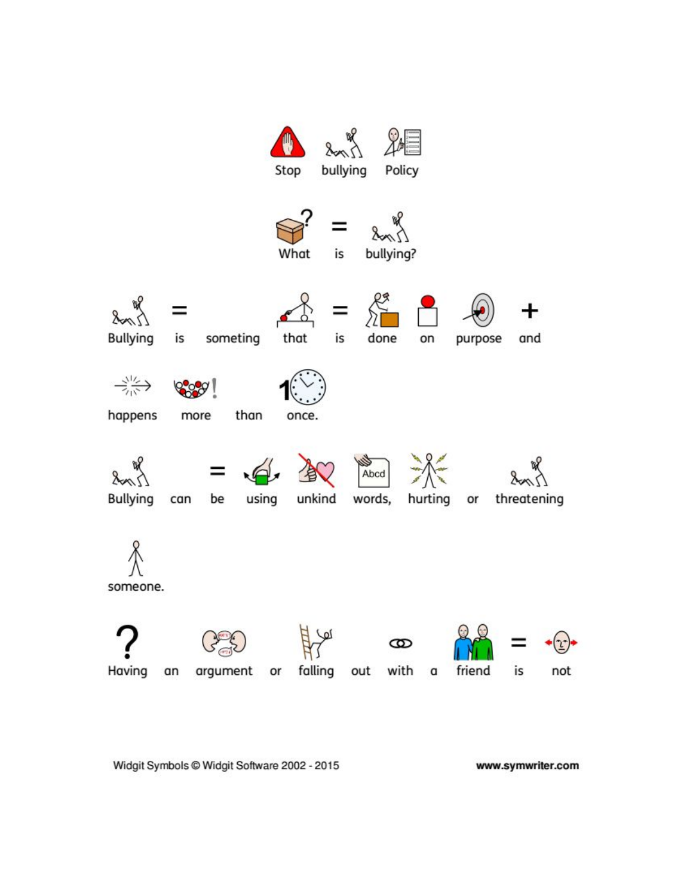







is someting



 $=$   $\frac{1}{2}$ done is

on



purpose and







happens

than



 $= 42$ 















Having an

argument or falling out with

 $\mathfrak a$ friend

is not

Widgit Symbols @ Widgit Software 2002 - 2015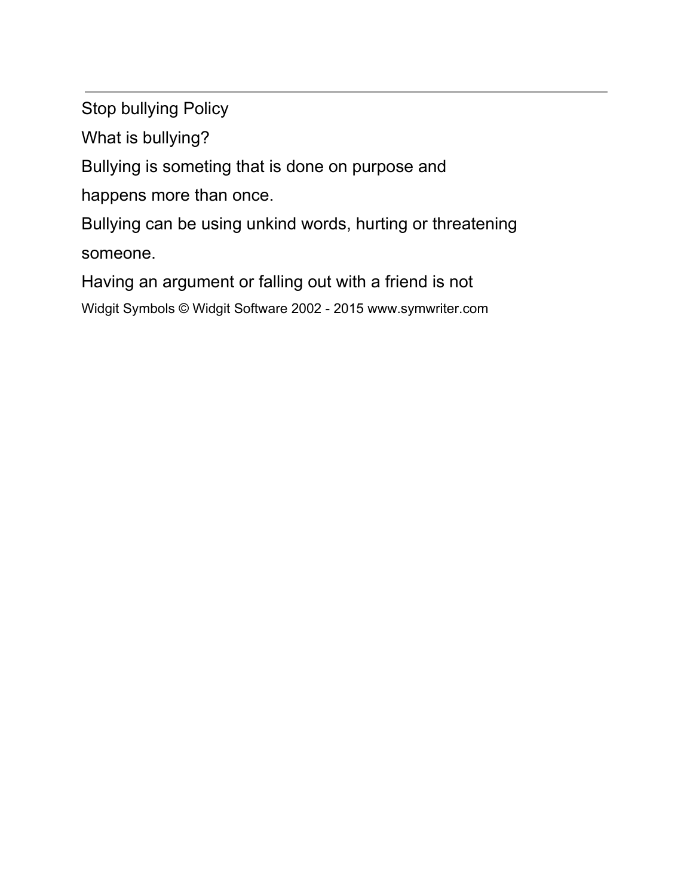Stop bullying Policy

What is bullying?

Bullying is someting that is done on purpose and

happens more than once.

Bullying can be using unkind words, hurting or threatening someone.

Having an argument or falling out with a friend is not Widgit Symbols © Widgit Software 2002 - 2015 www.symwriter.com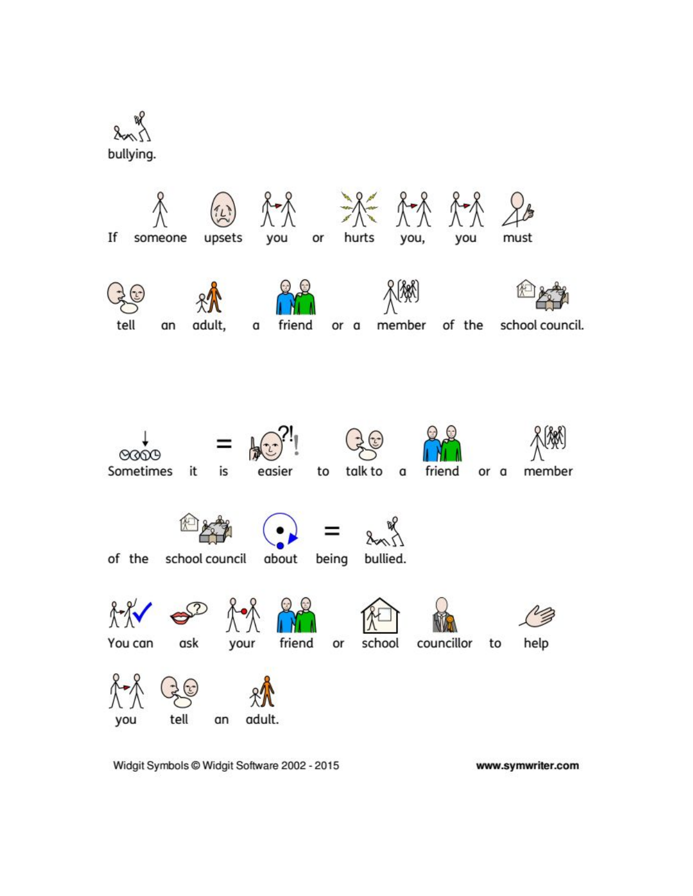

Widgit Symbols @ Widgit Software 2002 - 2015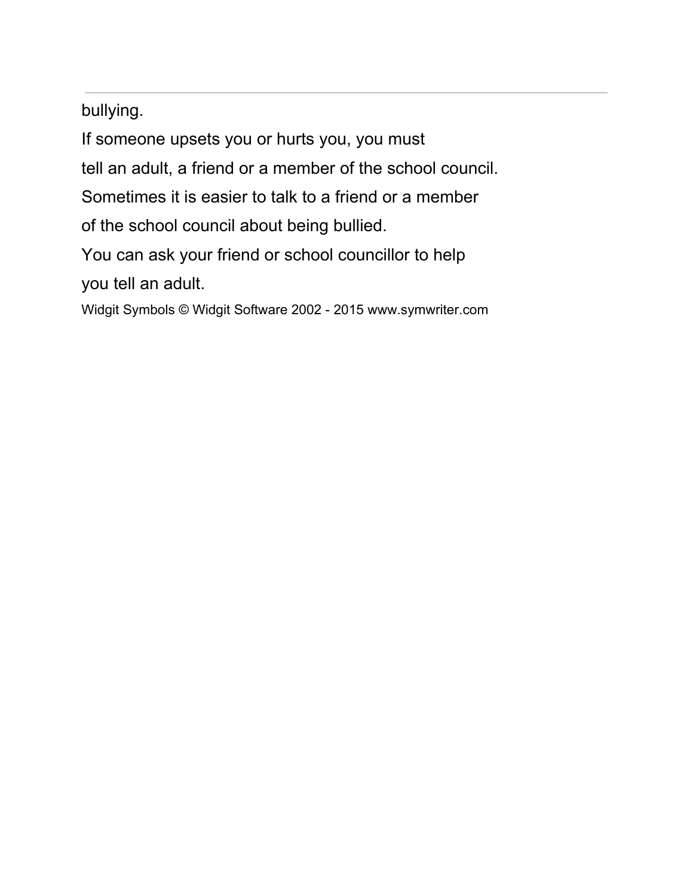bullying.

If someone upsets you or hurts you, you must tell an adult, a friend or a member of the school council. Sometimes it is easier to talk to a friend or a member of the school council about being bullied. You can ask your friend or school councillor to help you tell an adult.

Widgit Symbols © Widgit Software 2002 - 2015 www.symwriter.com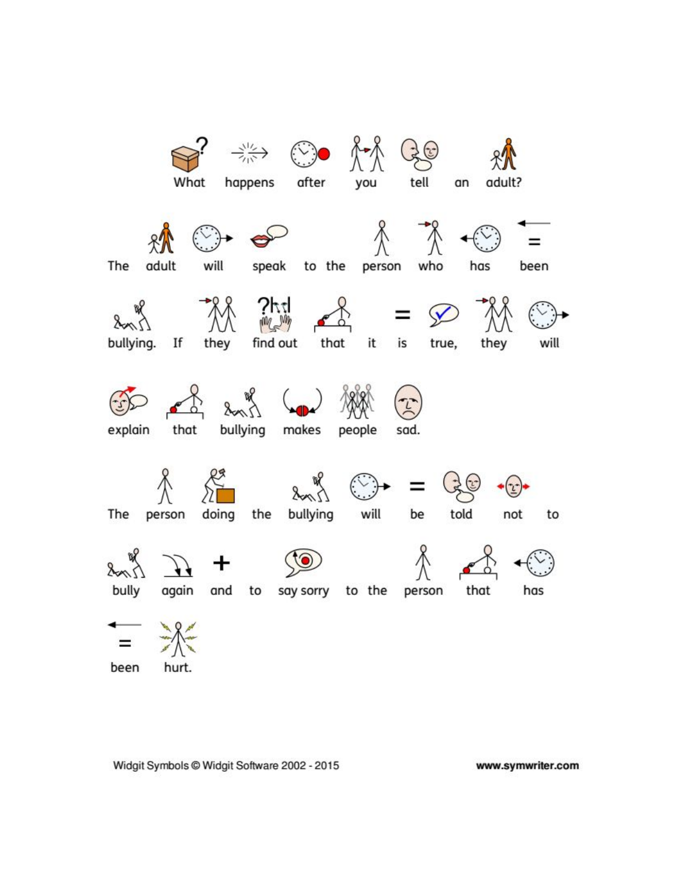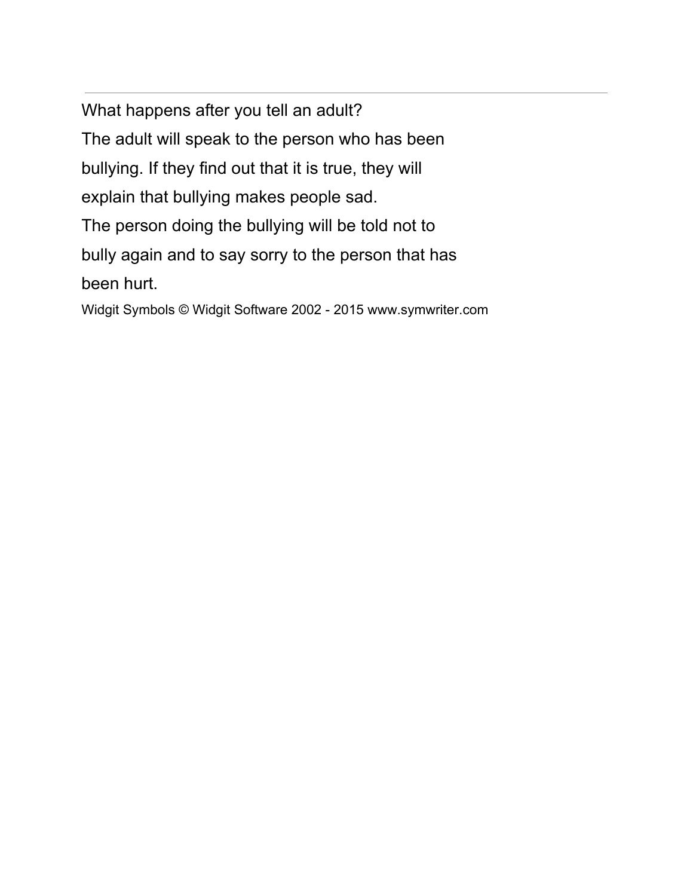What happens after you tell an adult? The adult will speak to the person who has been bullying. If they find out that it is true, they will explain that bullying makes people sad. The person doing the bullying will be told not to bully again and to say sorry to the person that has been hurt.

Widgit Symbols © Widgit Software 2002 - 2015 www.symwriter.com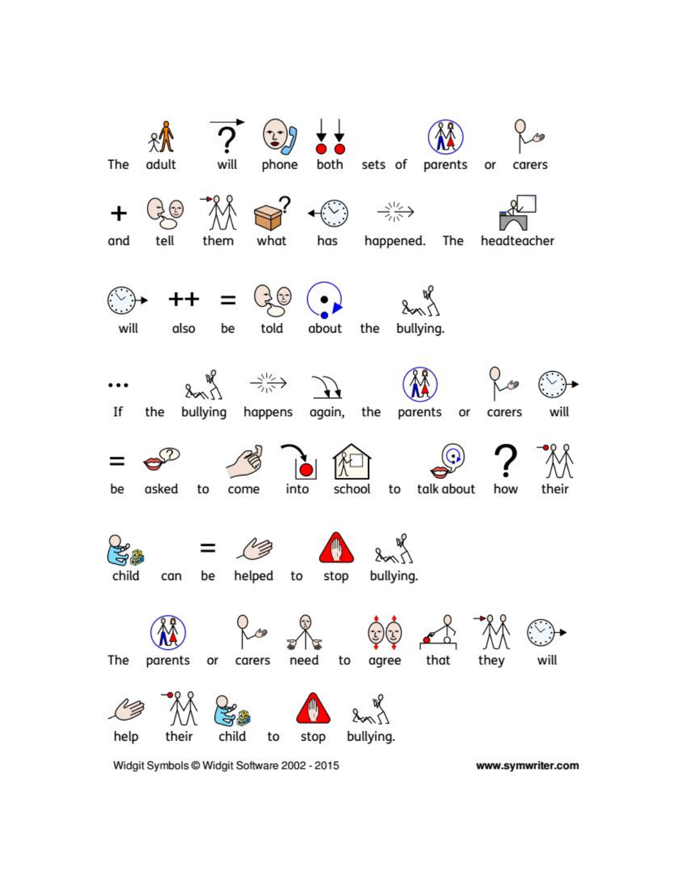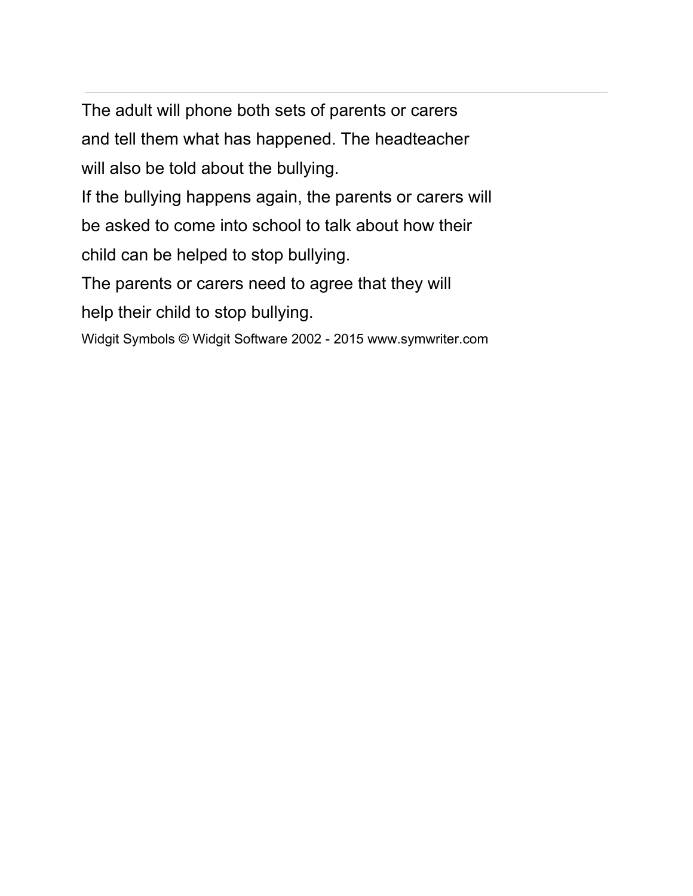The adult will phone both sets of parents or carers and tell them what has happened. The headteacher will also be told about the bullying. If the bullying happens again, the parents or carers will be asked to come into school to talk about how their child can be helped to stop bullying. The parents or carers need to agree that they will help their child to stop bullying. Widgit Symbols © Widgit Software 2002 - 2015 www.symwriter.com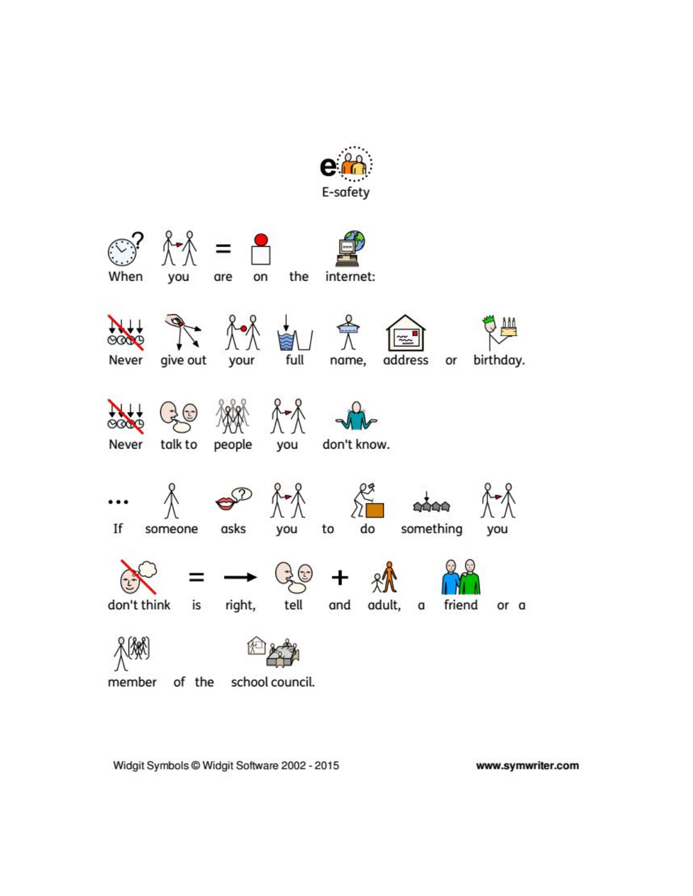

member of the school council.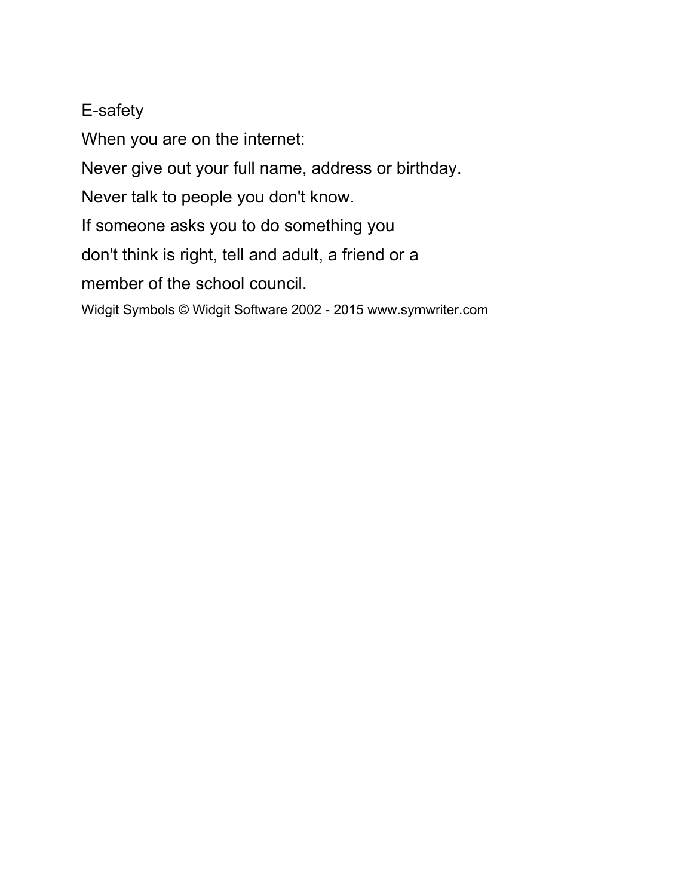## E-safety

When you are on the internet: Never give out your full name, address or birthday. Never talk to people you don't know. If someone asks you to do something you don't think is right, tell and adult, a friend or a member of the school council. Widgit Symbols © Widgit Software 2002 - 2015 www.symwriter.com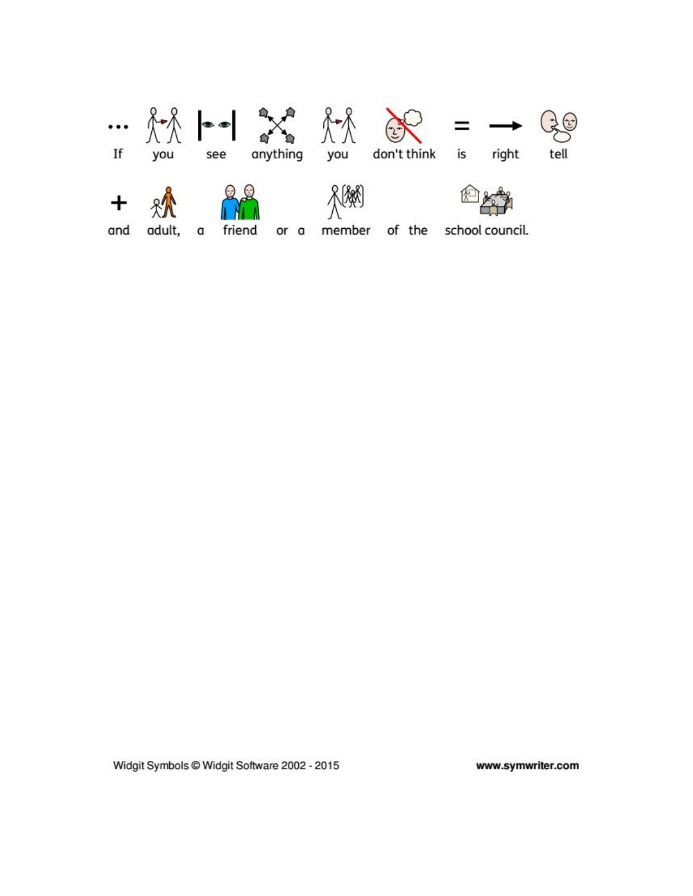